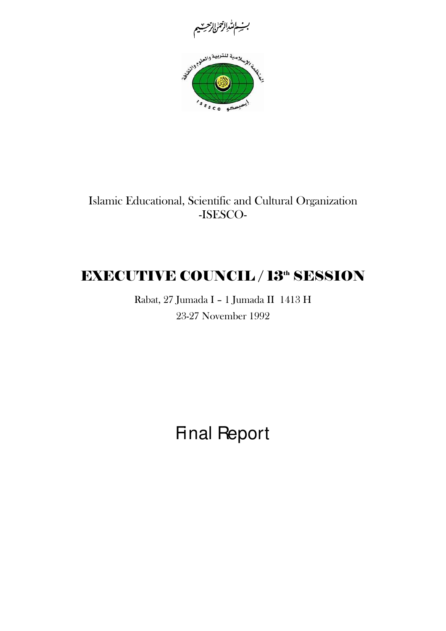



Islamic Educational, Scientific and Cultural Organization -ISESCO-

# **EXECUTIVE COUNCIL / 13th SESSION**

Rabat, 27 Jumada I – 1 Jumada II 1413 H 23-27 November 1992

Final Report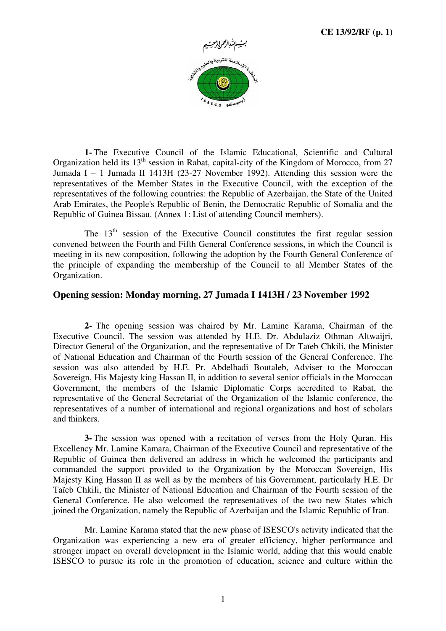

**1-** The Executive Council of the Islamic Educational, Scientific and Cultural Organization held its  $13<sup>th</sup>$  session in Rabat, capital-city of the Kingdom of Morocco, from 27 Jumada I – 1 Jumada II 1413H (23-27 November 1992). Attending this session were the representatives of the Member States in the Executive Council, with the exception of the representatives of the following countries: the Republic of Azerbaijan, the State of the United Arab Emirates, the People's Republic of Benin, the Democratic Republic of Somalia and the Republic of Guinea Bissau. (Annex 1: List of attending Council members).

The  $13<sup>th</sup>$  session of the Executive Council constitutes the first regular session convened between the Fourth and Fifth General Conference sessions, in which the Council is meeting in its new composition, following the adoption by the Fourth General Conference of the principle of expanding the membership of the Council to all Member States of the Organization.

# **Opening session: Monday morning, 27 Jumada I 1413H / 23 November 1992**

**2-** The opening session was chaired by Mr. Lamine Karama, Chairman of the Executive Council. The session was attended by H.E. Dr. Abdulaziz Othman Altwaijri, Director General of the Organization, and the representative of Dr Taïeb Chkili, the Minister of National Education and Chairman of the Fourth session of the General Conference. The session was also attended by H.E. Pr. Abdelhadi Boutaleb, Adviser to the Moroccan Sovereign, His Majesty king Hassan II, in addition to several senior officials in the Moroccan Government, the members of the Islamic Diplomatic Corps accredited to Rabat, the representative of the General Secretariat of the Organization of the Islamic conference, the representatives of a number of international and regional organizations and host of scholars and thinkers.

**3-** The session was opened with a recitation of verses from the Holy Quran. His Excellency Mr. Lamine Kamara, Chairman of the Executive Council and representative of the Republic of Guinea then delivered an address in which he welcomed the participants and commanded the support provided to the Organization by the Moroccan Sovereign, His Majesty King Hassan II as well as by the members of his Government, particularly H.E. Dr Taïeb Chkili, the Minister of National Education and Chairman of the Fourth session of the General Conference. He also welcomed the representatives of the two new States which joined the Organization, namely the Republic of Azerbaijan and the Islamic Republic of Iran.

Mr. Lamine Karama stated that the new phase of ISESCO's activity indicated that the Organization was experiencing a new era of greater efficiency, higher performance and stronger impact on overall development in the Islamic world, adding that this would enable ISESCO to pursue its role in the promotion of education, science and culture within the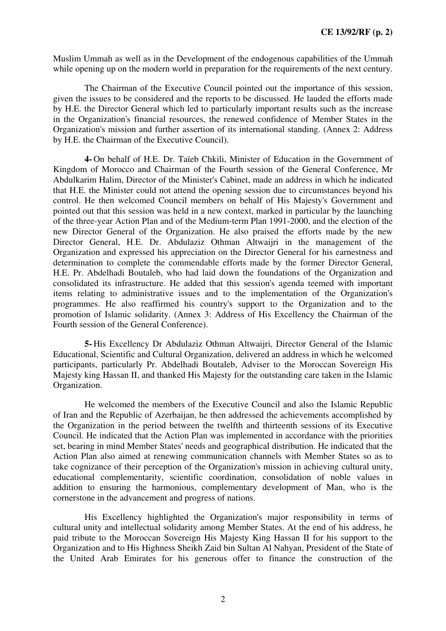Muslim Ummah as well as in the Development of the endogenous capabilities of the Ummah while opening up on the modern world in preparation for the requirements of the next century.

The Chairman of the Executive Council pointed out the importance of this session, given the issues to be considered and the reports to be discussed. He lauded the efforts made by H.E. the Director General which led to particularly important results such as the increase in the Organization's financial resources, the renewed confidence of Member States in the Organization's mission and further assertion of its international standing. (Annex 2: Address by H.E. the Chairman of the Executive Council).

**4-** On behalf of H.E. Dr. Taïeb Chkili, Minister of Education in the Government of Kingdom of Morocco and Chairman of the Fourth session of the General Conference, Mr Abdulkarim Halim, Director of the Minister's Cabinet, made an address in which he indicated that H.E. the Minister could not attend the opening session due to circumstances beyond his control. He then welcomed Council members on behalf of His Majesty's Government and pointed out that this session was held in a new context, marked in particular by the launching of the three-year Action Plan and of the Medium-term Plan 1991-2000, and the election of the new Director General of the Organization. He also praised the efforts made by the new Director General, H.E. Dr. Abdulaziz Othman Altwaijri in the management of the Organization and expressed his appreciation on the Director General for his earnestness and determination to complete the commendable efforts made by the former Director General, H.E. Pr. Abdelhadi Boutaleb, who had laid down the foundations of the Organization and consolidated its infrastructure. He added that this session's agenda teemed with important items relating to administrative issues and to the implementation of the Organization's programmes. He also reaffirmed his country's support to the Organization and to the promotion of Islamic solidarity. (Annex 3: Address of His Excellency the Chairman of the Fourth session of the General Conference).

**5-** His Excellency Dr Abdulaziz Othman Altwaijri, Director General of the Islamic Educational, Scientific and Cultural Organization, delivered an address in which he welcomed participants, particularly Pr. Abdelhadi Boutaleb, Adviser to the Moroccan Sovereign His Majesty king Hassan II, and thanked His Majesty for the outstanding care taken in the Islamic Organization.

He welcomed the members of the Executive Council and also the Islamic Republic of Iran and the Republic of Azerbaijan, he then addressed the achievements accomplished by the Organization in the period between the twelfth and thirteenth sessions of its Executive Council. He indicated that the Action Plan was implemented in accordance with the priorities set, bearing in mind Member States' needs and geographical distribution. He indicated that the Action Plan also aimed at renewing communication channels with Member States so as to take cognizance of their perception of the Organization's mission in achieving cultural unity, educational complementarity, scientific coordination, consolidation of noble values in addition to ensuring the harmonious, complementary development of Man, who is the cornerstone in the advancement and progress of nations.

His Excellency highlighted the Organization's major responsibility in terms of cultural unity and intellectual solidarity among Member States. At the end of his address, he paid tribute to the Moroccan Sovereign His Majesty King Hassan II for his support to the Organization and to His Highness Sheikh Zaid bin Sultan Al Nahyan, President of the State of the United Arab Emirates for his generous offer to finance the construction of the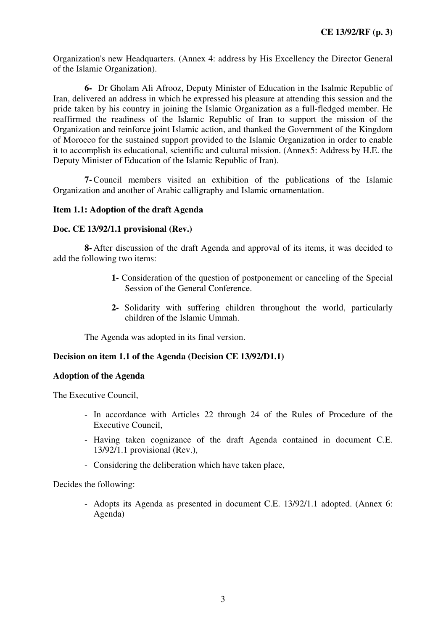Organization's new Headquarters. (Annex 4: address by His Excellency the Director General of the Islamic Organization).

**6-** Dr Gholam Ali Afrooz, Deputy Minister of Education in the Isalmic Republic of Iran, delivered an address in which he expressed his pleasure at attending this session and the pride taken by his country in joining the Islamic Organization as a full-fledged member. He reaffirmed the readiness of the Islamic Republic of Iran to support the mission of the Organization and reinforce joint Islamic action, and thanked the Government of the Kingdom of Morocco for the sustained support provided to the Islamic Organization in order to enable it to accomplish its educational, scientific and cultural mission. (Annex5: Address by H.E. the Deputy Minister of Education of the Islamic Republic of Iran).

**7-** Council members visited an exhibition of the publications of the Islamic Organization and another of Arabic calligraphy and Islamic ornamentation.

#### **Item 1.1: Adoption of the draft Agenda**

#### **Doc. CE 13/92/1.1 provisional (Rev.)**

**8-** After discussion of the draft Agenda and approval of its items, it was decided to add the following two items:

- **1-** Consideration of the question of postponement or canceling of the Special Session of the General Conference.
- **2-** Solidarity with suffering children throughout the world, particularly children of the Islamic Ummah.

The Agenda was adopted in its final version.

# **Decision on item 1.1 of the Agenda (Decision CE 13/92/D1.1)**

#### **Adoption of the Agenda**

The Executive Council,

- In accordance with Articles 22 through 24 of the Rules of Procedure of the Executive Council,
- Having taken cognizance of the draft Agenda contained in document C.E. 13/92/1.1 provisional (Rev.),
- Considering the deliberation which have taken place,

Decides the following:

- Adopts its Agenda as presented in document C.E. 13/92/1.1 adopted. (Annex 6: Agenda)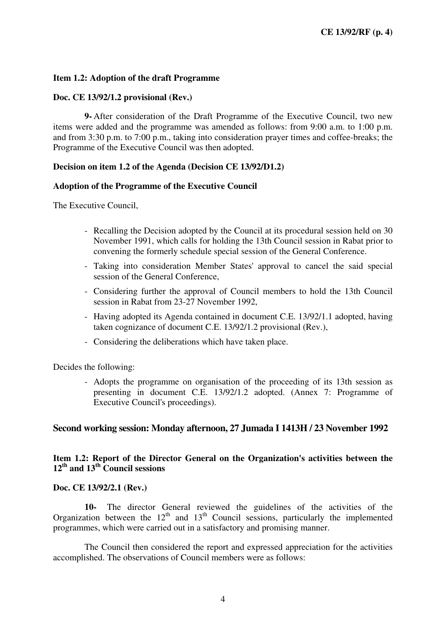## **Item 1.2: Adoption of the draft Programme**

#### **Doc. CE 13/92/1.2 provisional (Rev.)**

**9-** After consideration of the Draft Programme of the Executive Council, two new items were added and the programme was amended as follows: from 9:00 a.m. to 1:00 p.m. and from 3:30 p.m. to 7:00 p.m., taking into consideration prayer times and coffee-breaks; the Programme of the Executive Council was then adopted.

# **Decision on item 1.2 of the Agenda (Decision CE 13/92/D1.2)**

#### **Adoption of the Programme of the Executive Council**

The Executive Council,

- Recalling the Decision adopted by the Council at its procedural session held on 30 November 1991, which calls for holding the 13th Council session in Rabat prior to convening the formerly schedule special session of the General Conference.
- Taking into consideration Member States' approval to cancel the said special session of the General Conference,
- Considering further the approval of Council members to hold the 13th Council session in Rabat from 23-27 November 1992,
- Having adopted its Agenda contained in document C.E. 13/92/1.1 adopted, having taken cognizance of document C.E. 13/92/1.2 provisional (Rev.),
- Considering the deliberations which have taken place.

Decides the following:

- Adopts the programme on organisation of the proceeding of its 13th session as presenting in document C.E. 13/92/1.2 adopted. (Annex 7: Programme of Executive Council's proceedings).

#### **Second working session: Monday afternoon, 27 Jumada I 1413H / 23 November 1992**

# **Item 1.2: Report of the Director General on the Organization's activities between the 12th and 13th Council sessions**

#### **Doc. CE 13/92/2.1 (Rev.)**

**10-** The director General reviewed the guidelines of the activities of the Organization between the  $12<sup>th</sup>$  and  $13<sup>th</sup>$  Council sessions, particularly the implemented programmes, which were carried out in a satisfactory and promising manner.

The Council then considered the report and expressed appreciation for the activities accomplished. The observations of Council members were as follows: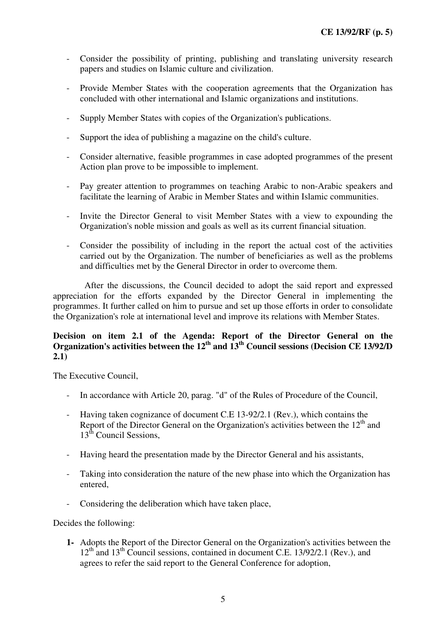- Consider the possibility of printing, publishing and translating university research papers and studies on Islamic culture and civilization.
- Provide Member States with the cooperation agreements that the Organization has concluded with other international and Islamic organizations and institutions.
- Supply Member States with copies of the Organization's publications.
- Support the idea of publishing a magazine on the child's culture.
- Consider alternative, feasible programmes in case adopted programmes of the present Action plan prove to be impossible to implement.
- Pay greater attention to programmes on teaching Arabic to non-Arabic speakers and facilitate the learning of Arabic in Member States and within Islamic communities.
- Invite the Director General to visit Member States with a view to expounding the Organization's noble mission and goals as well as its current financial situation.
- Consider the possibility of including in the report the actual cost of the activities carried out by the Organization. The number of beneficiaries as well as the problems and difficulties met by the General Director in order to overcome them.

After the discussions, the Council decided to adopt the said report and expressed appreciation for the efforts expanded by the Director General in implementing the programmes. It further called on him to pursue and set up those efforts in order to consolidate the Organization's role at international level and improve its relations with Member States.

# **Decision on item 2.1 of the Agenda: Report of the Director General on the Organization's activities between the 12th and 13th Council sessions (Decision CE 13/92/D 2.1)**

The Executive Council,

- In accordance with Article 20, parag. "d" of the Rules of Procedure of the Council,
- Having taken cognizance of document C.E 13-92/2.1 (Rev.), which contains the Report of the Director General on the Organization's activities between the  $12<sup>th</sup>$  and 13<sup>th</sup> Council Sessions,
- Having heard the presentation made by the Director General and his assistants,
- Taking into consideration the nature of the new phase into which the Organization has entered,
- Considering the deliberation which have taken place,

Decides the following:

**1-** Adopts the Report of the Director General on the Organization's activities between the  $12<sup>th</sup>$  and  $13<sup>th</sup>$  Council sessions, contained in document C.E. 13/92/2.1 (Rev.), and agrees to refer the said report to the General Conference for adoption,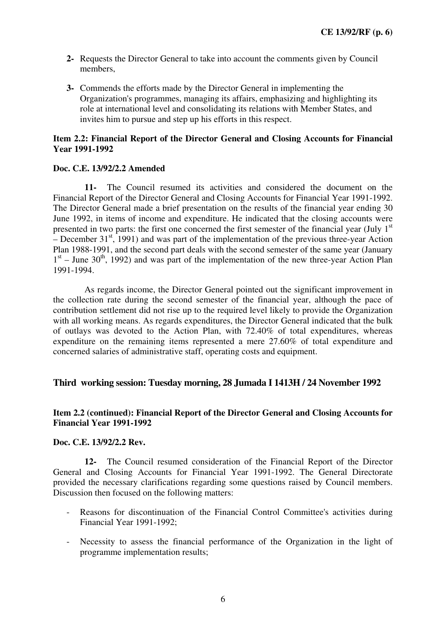- **2-** Requests the Director General to take into account the comments given by Council members,
- **3-** Commends the efforts made by the Director General in implementing the Organization's programmes, managing its affairs, emphasizing and highlighting its role at international level and consolidating its relations with Member States, and invites him to pursue and step up his efforts in this respect.

# **Item 2.2: Financial Report of the Director General and Closing Accounts for Financial Year 1991-1992**

#### **Doc. C.E. 13/92/2.2 Amended**

**11-** The Council resumed its activities and considered the document on the Financial Report of the Director General and Closing Accounts for Financial Year 1991-1992. The Director General made a brief presentation on the results of the financial year ending 30 June 1992, in items of income and expenditure. He indicated that the closing accounts were presented in two parts: the first one concerned the first semester of the financial year (July  $1<sup>st</sup>$ – December  $31<sup>st</sup>$ , 1991) and was part of the implementation of the previous three-year Action Plan 1988-1991, and the second part deals with the second semester of the same year (January 1<sup>st</sup> – June 30<sup>th</sup>, 1992) and was part of the implementation of the new three-year Action Plan 1991-1994.

As regards income, the Director General pointed out the significant improvement in the collection rate during the second semester of the financial year, although the pace of contribution settlement did not rise up to the required level likely to provide the Organization with all working means. As regards expenditures, the Director General indicated that the bulk of outlays was devoted to the Action Plan, with 72.40% of total expenditures, whereas expenditure on the remaining items represented a mere 27.60% of total expenditure and concerned salaries of administrative staff, operating costs and equipment.

#### **Third working session: Tuesday morning, 28 Jumada I 1413H / 24 November 1992**

#### **Item 2.2 (continued): Financial Report of the Director General and Closing Accounts for Financial Year 1991-1992**

#### **Doc. C.E. 13/92/2.2 Rev.**

**12-** The Council resumed consideration of the Financial Report of the Director General and Closing Accounts for Financial Year 1991-1992. The General Directorate provided the necessary clarifications regarding some questions raised by Council members. Discussion then focused on the following matters:

- Reasons for discontinuation of the Financial Control Committee's activities during Financial Year 1991-1992;
- Necessity to assess the financial performance of the Organization in the light of programme implementation results;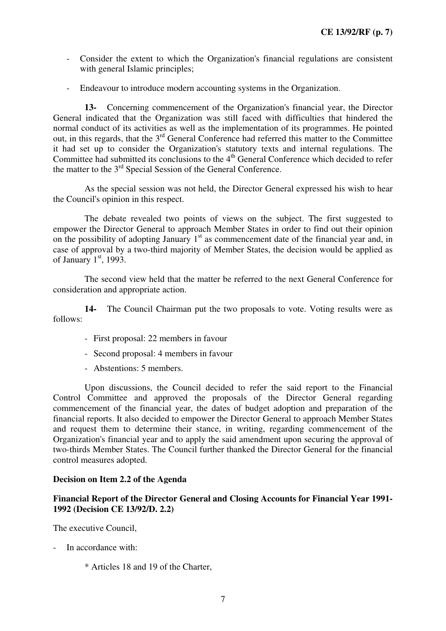- Consider the extent to which the Organization's financial regulations are consistent with general Islamic principles;
- Endeavour to introduce modern accounting systems in the Organization.

**13-** Concerning commencement of the Organization's financial year, the Director General indicated that the Organization was still faced with difficulties that hindered the normal conduct of its activities as well as the implementation of its programmes. He pointed out, in this regards, that the 3rd General Conference had referred this matter to the Committee it had set up to consider the Organization's statutory texts and internal regulations. The Committee had submitted its conclusions to the 4<sup>th</sup> General Conference which decided to refer the matter to the 3<sup>rd</sup> Special Session of the General Conference.

As the special session was not held, the Director General expressed his wish to hear the Council's opinion in this respect.

The debate revealed two points of views on the subject. The first suggested to empower the Director General to approach Member States in order to find out their opinion on the possibility of adopting January  $1<sup>st</sup>$  as commencement date of the financial year and, in case of approval by a two-third majority of Member States, the decision would be applied as of January  $1<sup>st</sup>$ , 1993.

The second view held that the matter be referred to the next General Conference for consideration and appropriate action.

**14-** The Council Chairman put the two proposals to vote. Voting results were as follows:

- First proposal: 22 members in favour
- Second proposal: 4 members in favour
- Abstentions: 5 members.

Upon discussions, the Council decided to refer the said report to the Financial Control Committee and approved the proposals of the Director General regarding commencement of the financial year, the dates of budget adoption and preparation of the financial reports. It also decided to empower the Director General to approach Member States and request them to determine their stance, in writing, regarding commencement of the Organization's financial year and to apply the said amendment upon securing the approval of two-thirds Member States. The Council further thanked the Director General for the financial control measures adopted.

#### **Decision on Item 2.2 of the Agenda**

# **Financial Report of the Director General and Closing Accounts for Financial Year 1991- 1992 (Decision CE 13/92/D. 2.2)**

The executive Council,

- In accordance with:
	- \* Articles 18 and 19 of the Charter,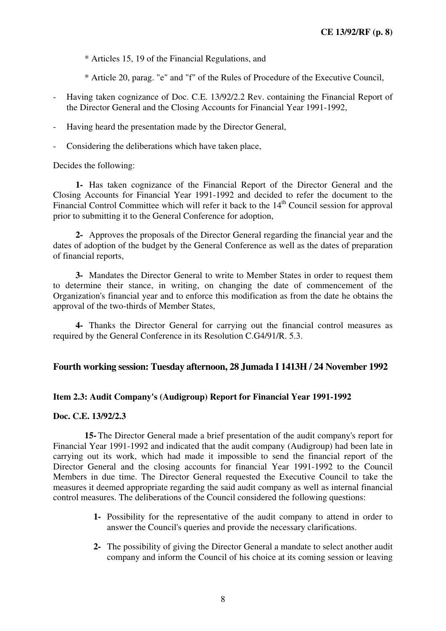\* Articles 15, 19 of the Financial Regulations, and

\* Article 20, parag. "e" and "f" of the Rules of Procedure of the Executive Council,

- Having taken cognizance of Doc. C.E. 13/92/2.2 Rev. containing the Financial Report of the Director General and the Closing Accounts for Financial Year 1991-1992,
- Having heard the presentation made by the Director General,
- Considering the deliberations which have taken place,

Decides the following:

**1-** Has taken cognizance of the Financial Report of the Director General and the Closing Accounts for Financial Year 1991-1992 and decided to refer the document to the Financial Control Committee which will refer it back to the  $14<sup>th</sup>$  Council session for approval prior to submitting it to the General Conference for adoption,

**2-** Approves the proposals of the Director General regarding the financial year and the dates of adoption of the budget by the General Conference as well as the dates of preparation of financial reports,

**3-** Mandates the Director General to write to Member States in order to request them to determine their stance, in writing, on changing the date of commencement of the Organization's financial year and to enforce this modification as from the date he obtains the approval of the two-thirds of Member States,

**4-** Thanks the Director General for carrying out the financial control measures as required by the General Conference in its Resolution C.G4/91/R. 5.3.

#### **Fourth working session: Tuesday afternoon, 28 Jumada I 1413H / 24 November 1992**

#### **Item 2.3: Audit Company's (Audigroup) Report for Financial Year 1991-1992**

# **Doc. C.E. 13/92/2.3**

**15-** The Director General made a brief presentation of the audit company's report for Financial Year 1991-1992 and indicated that the audit company (Audigroup) had been late in carrying out its work, which had made it impossible to send the financial report of the Director General and the closing accounts for financial Year 1991-1992 to the Council Members in due time. The Director General requested the Executive Council to take the measures it deemed appropriate regarding the said audit company as well as internal financial control measures. The deliberations of the Council considered the following questions:

- **1-** Possibility for the representative of the audit company to attend in order to answer the Council's queries and provide the necessary clarifications.
- **2-** The possibility of giving the Director General a mandate to select another audit company and inform the Council of his choice at its coming session or leaving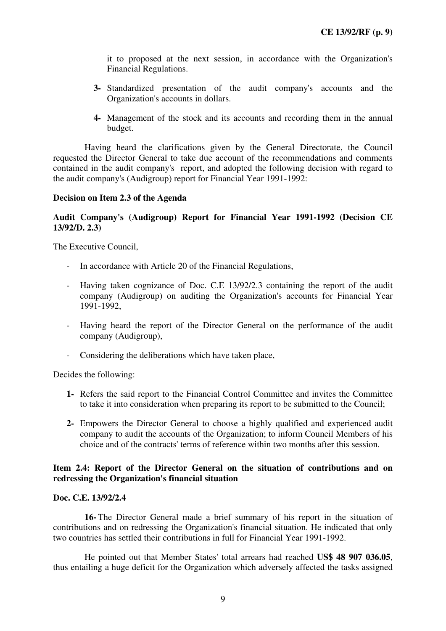it to proposed at the next session, in accordance with the Organization's Financial Regulations.

- **3-** Standardized presentation of the audit company's accounts and the Organization's accounts in dollars.
- **4-** Management of the stock and its accounts and recording them in the annual budget.

Having heard the clarifications given by the General Directorate, the Council requested the Director General to take due account of the recommendations and comments contained in the audit company's report, and adopted the following decision with regard to the audit company's (Audigroup) report for Financial Year 1991-1992:

#### **Decision on Item 2.3 of the Agenda**

## **Audit Company's (Audigroup) Report for Financial Year 1991-1992 (Decision CE 13/92/D. 2.3)**

The Executive Council,

- In accordance with Article 20 of the Financial Regulations,
- Having taken cognizance of Doc. C.E 13/92/2.3 containing the report of the audit company (Audigroup) on auditing the Organization's accounts for Financial Year 1991-1992,
- Having heard the report of the Director General on the performance of the audit company (Audigroup),
- Considering the deliberations which have taken place,

Decides the following:

- **1-** Refers the said report to the Financial Control Committee and invites the Committee to take it into consideration when preparing its report to be submitted to the Council;
- **2-** Empowers the Director General to choose a highly qualified and experienced audit company to audit the accounts of the Organization; to inform Council Members of his choice and of the contracts' terms of reference within two months after this session.

#### **Item 2.4: Report of the Director General on the situation of contributions and on redressing the Organization's financial situation**

#### **Doc. C.E. 13/92/2.4**

**16-** The Director General made a brief summary of his report in the situation of contributions and on redressing the Organization's financial situation. He indicated that only two countries has settled their contributions in full for Financial Year 1991-1992.

He pointed out that Member States' total arrears had reached **US\$ 48 907 036.05**, thus entailing a huge deficit for the Organization which adversely affected the tasks assigned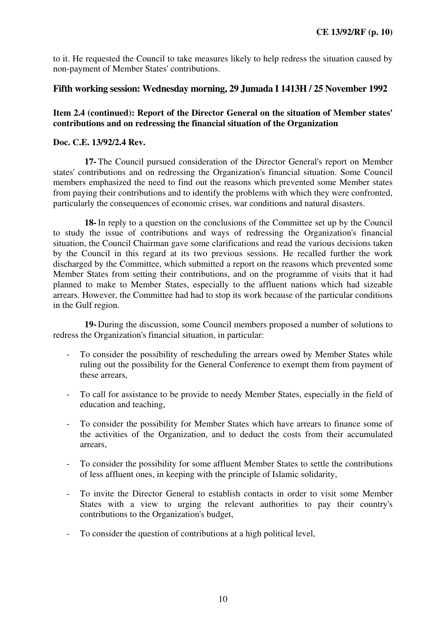to it. He requested the Council to take measures likely to help redress the situation caused by non-payment of Member States' contributions.

# **Fifth working session: Wednesday morning, 29 Jumada I 1413H / 25 November 1992**

# **Item 2.4 (continued): Report of the Director General on the situation of Member states' contributions and on redressing the financial situation of the Organization**

# **Doc. C.E. 13/92/2.4 Rev.**

**17-** The Council pursued consideration of the Director General's report on Member states' contributions and on redressing the Organization's financial situation. Some Council members emphasized the need to find out the reasons which prevented some Member states from paying their contributions and to identify the problems with which they were confronted, particularly the consequences of economic crises, war conditions and natural disasters.

**18-** In reply to a question on the conclusions of the Committee set up by the Council to study the issue of contributions and ways of redressing the Organization's financial situation, the Council Chairman gave some clarifications and read the various decisions taken by the Council in this regard at its two previous sessions. He recalled further the work discharged by the Committee, which submitted a report on the reasons which prevented some Member States from setting their contributions, and on the programme of visits that it had planned to make to Member States, especially to the affluent nations which had sizeable arrears. However, the Committee had had to stop its work because of the particular conditions in the Gulf region.

**19-** During the discussion, some Council members proposed a number of solutions to redress the Organization's financial situation, in particular:

- To consider the possibility of rescheduling the arrears owed by Member States while ruling out the possibility for the General Conference to exempt them from payment of these arrears,
- To call for assistance to be provide to needy Member States, especially in the field of education and teaching,
- To consider the possibility for Member States which have arrears to finance some of the activities of the Organization, and to deduct the costs from their accumulated arrears,
- To consider the possibility for some affluent Member States to settle the contributions of less affluent ones, in keeping with the principle of Islamic solidarity,
- To invite the Director General to establish contacts in order to visit some Member States with a view to urging the relevant authorities to pay their country's contributions to the Organization's budget,
- To consider the question of contributions at a high political level,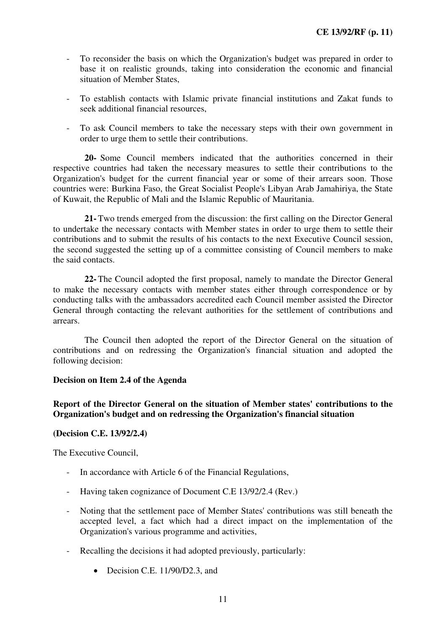- To reconsider the basis on which the Organization's budget was prepared in order to base it on realistic grounds, taking into consideration the economic and financial situation of Member States,
- To establish contacts with Islamic private financial institutions and Zakat funds to seek additional financial resources,
- To ask Council members to take the necessary steps with their own government in order to urge them to settle their contributions.

**20-** Some Council members indicated that the authorities concerned in their respective countries had taken the necessary measures to settle their contributions to the Organization's budget for the current financial year or some of their arrears soon. Those countries were: Burkina Faso, the Great Socialist People's Libyan Arab Jamahiriya, the State of Kuwait, the Republic of Mali and the Islamic Republic of Mauritania.

**21-** Two trends emerged from the discussion: the first calling on the Director General to undertake the necessary contacts with Member states in order to urge them to settle their contributions and to submit the results of his contacts to the next Executive Council session, the second suggested the setting up of a committee consisting of Council members to make the said contacts.

**22-** The Council adopted the first proposal, namely to mandate the Director General to make the necessary contacts with member states either through correspondence or by conducting talks with the ambassadors accredited each Council member assisted the Director General through contacting the relevant authorities for the settlement of contributions and arrears.

The Council then adopted the report of the Director General on the situation of contributions and on redressing the Organization's financial situation and adopted the following decision:

#### **Decision on Item 2.4 of the Agenda**

# **Report of the Director General on the situation of Member states' contributions to the Organization's budget and on redressing the Organization's financial situation**

#### **(Decision C.E. 13/92/2.4)**

The Executive Council,

- In accordance with Article 6 of the Financial Regulations,
- Having taken cognizance of Document C.E 13/92/2.4 (Rev.)
- Noting that the settlement pace of Member States' contributions was still beneath the accepted level, a fact which had a direct impact on the implementation of the Organization's various programme and activities,
- Recalling the decisions it had adopted previously, particularly:
	- Decision C.E. 11/90/D2.3, and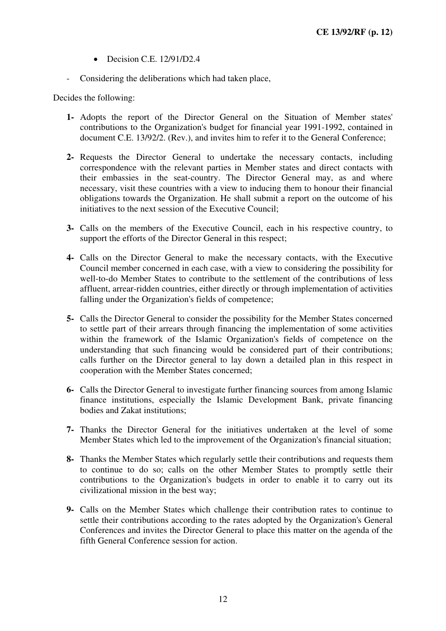- Decision C.E. 12/91/D2.4
- Considering the deliberations which had taken place,

Decides the following:

- **1-** Adopts the report of the Director General on the Situation of Member states' contributions to the Organization's budget for financial year 1991-1992, contained in document C.E. 13/92/2. (Rev.), and invites him to refer it to the General Conference;
- **2-** Requests the Director General to undertake the necessary contacts, including correspondence with the relevant parties in Member states and direct contacts with their embassies in the seat-country. The Director General may, as and where necessary, visit these countries with a view to inducing them to honour their financial obligations towards the Organization. He shall submit a report on the outcome of his initiatives to the next session of the Executive Council;
- **3-** Calls on the members of the Executive Council, each in his respective country, to support the efforts of the Director General in this respect;
- **4-** Calls on the Director General to make the necessary contacts, with the Executive Council member concerned in each case, with a view to considering the possibility for well-to-do Member States to contribute to the settlement of the contributions of less affluent, arrear-ridden countries, either directly or through implementation of activities falling under the Organization's fields of competence;
- **5-** Calls the Director General to consider the possibility for the Member States concerned to settle part of their arrears through financing the implementation of some activities within the framework of the Islamic Organization's fields of competence on the understanding that such financing would be considered part of their contributions; calls further on the Director general to lay down a detailed plan in this respect in cooperation with the Member States concerned;
- **6-** Calls the Director General to investigate further financing sources from among Islamic finance institutions, especially the Islamic Development Bank, private financing bodies and Zakat institutions;
- **7-** Thanks the Director General for the initiatives undertaken at the level of some Member States which led to the improvement of the Organization's financial situation;
- **8-** Thanks the Member States which regularly settle their contributions and requests them to continue to do so; calls on the other Member States to promptly settle their contributions to the Organization's budgets in order to enable it to carry out its civilizational mission in the best way;
- **9-** Calls on the Member States which challenge their contribution rates to continue to settle their contributions according to the rates adopted by the Organization's General Conferences and invites the Director General to place this matter on the agenda of the fifth General Conference session for action.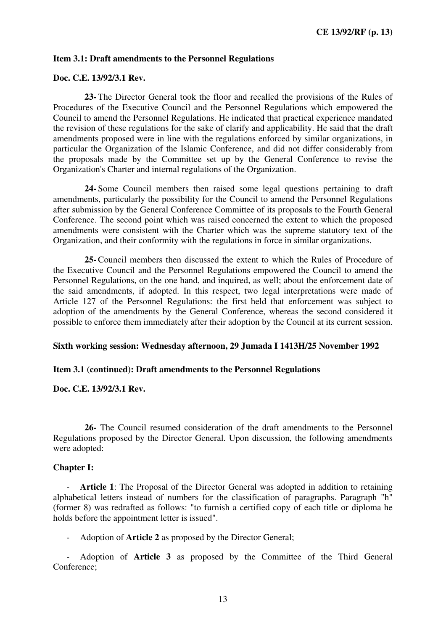#### **Item 3.1: Draft amendments to the Personnel Regulations**

#### **Doc. C.E. 13/92/3.1 Rev.**

**23-** The Director General took the floor and recalled the provisions of the Rules of Procedures of the Executive Council and the Personnel Regulations which empowered the Council to amend the Personnel Regulations. He indicated that practical experience mandated the revision of these regulations for the sake of clarify and applicability. He said that the draft amendments proposed were in line with the regulations enforced by similar organizations, in particular the Organization of the Islamic Conference, and did not differ considerably from the proposals made by the Committee set up by the General Conference to revise the Organization's Charter and internal regulations of the Organization.

**24-** Some Council members then raised some legal questions pertaining to draft amendments, particularly the possibility for the Council to amend the Personnel Regulations after submission by the General Conference Committee of its proposals to the Fourth General Conference. The second point which was raised concerned the extent to which the proposed amendments were consistent with the Charter which was the supreme statutory text of the Organization, and their conformity with the regulations in force in similar organizations.

**25-** Council members then discussed the extent to which the Rules of Procedure of the Executive Council and the Personnel Regulations empowered the Council to amend the Personnel Regulations, on the one hand, and inquired, as well; about the enforcement date of the said amendments, if adopted. In this respect, two legal interpretations were made of Article 127 of the Personnel Regulations: the first held that enforcement was subject to adoption of the amendments by the General Conference, whereas the second considered it possible to enforce them immediately after their adoption by the Council at its current session.

#### **Sixth working session: Wednesday afternoon, 29 Jumada I 1413H/25 November 1992**

#### **Item 3.1 (continued): Draft amendments to the Personnel Regulations**

#### **Doc. C.E. 13/92/3.1 Rev.**

**26-** The Council resumed consideration of the draft amendments to the Personnel Regulations proposed by the Director General. Upon discussion, the following amendments were adopted:

#### **Chapter I:**

- **Article 1**: The Proposal of the Director General was adopted in addition to retaining alphabetical letters instead of numbers for the classification of paragraphs. Paragraph "h" (former 8) was redrafted as follows: "to furnish a certified copy of each title or diploma he holds before the appointment letter is issued".

- Adoption of **Article 2** as proposed by the Director General;

- Adoption of **Article 3** as proposed by the Committee of the Third General Conference;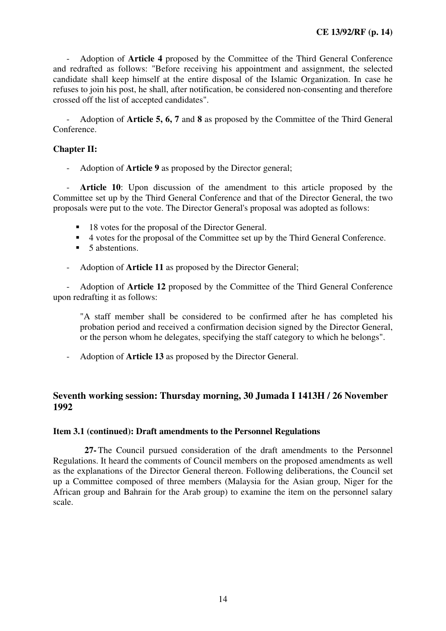- Adoption of **Article 4** proposed by the Committee of the Third General Conference and redrafted as follows: "Before receiving his appointment and assignment, the selected candidate shall keep himself at the entire disposal of the Islamic Organization. In case he refuses to join his post, he shall, after notification, be considered non-consenting and therefore crossed off the list of accepted candidates".

Adoption of **Article 5, 6, 7** and **8** as proposed by the Committee of the Third General Conference.

# **Chapter II:**

- Adoption of **Article 9** as proposed by the Director general;

- **Article 10**: Upon discussion of the amendment to this article proposed by the Committee set up by the Third General Conference and that of the Director General, the two proposals were put to the vote. The Director General's proposal was adopted as follows:

- 18 votes for the proposal of the Director General.
- 4 votes for the proposal of the Committee set up by the Third General Conference.
- 5 abstentions.
- Adoption of **Article 11** as proposed by the Director General;

- Adoption of **Article 12** proposed by the Committee of the Third General Conference upon redrafting it as follows:

"A staff member shall be considered to be confirmed after he has completed his probation period and received a confirmation decision signed by the Director General, or the person whom he delegates, specifying the staff category to which he belongs".

- Adoption of **Article 13** as proposed by the Director General.

# **Seventh working session: Thursday morning, 30 Jumada I 1413H / 26 November 1992**

#### **Item 3.1 (continued): Draft amendments to the Personnel Regulations**

**27-** The Council pursued consideration of the draft amendments to the Personnel Regulations. It heard the comments of Council members on the proposed amendments as well as the explanations of the Director General thereon. Following deliberations, the Council set up a Committee composed of three members (Malaysia for the Asian group, Niger for the African group and Bahrain for the Arab group) to examine the item on the personnel salary scale.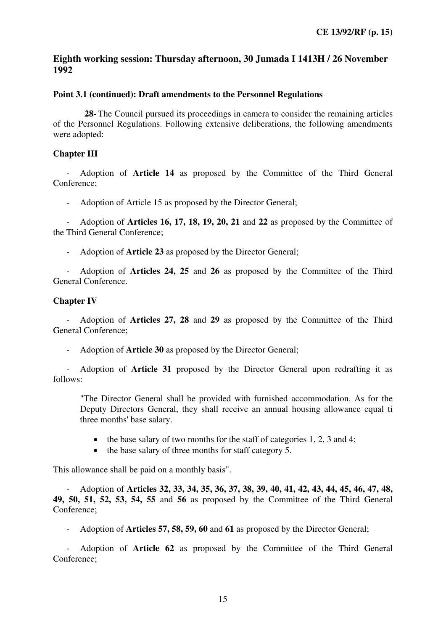# **Eighth working session: Thursday afternoon, 30 Jumada I 1413H / 26 November 1992**

## **Point 3.1 (continued): Draft amendments to the Personnel Regulations**

**28-** The Council pursued its proceedings in camera to consider the remaining articles of the Personnel Regulations. Following extensive deliberations, the following amendments were adopted:

# **Chapter III**

- Adoption of **Article 14** as proposed by the Committee of the Third General Conference;

- Adoption of Article 15 as proposed by the Director General;

- Adoption of **Articles 16, 17, 18, 19, 20, 21** and **22** as proposed by the Committee of the Third General Conference;

- Adoption of **Article 23** as proposed by the Director General;

- Adoption of **Articles 24, 25** and **26** as proposed by the Committee of the Third General Conference.

# **Chapter IV**

- Adoption of **Articles 27, 28** and **29** as proposed by the Committee of the Third General Conference;

- Adoption of **Article 30** as proposed by the Director General;

- Adoption of **Article 31** proposed by the Director General upon redrafting it as follows:

"The Director General shall be provided with furnished accommodation. As for the Deputy Directors General, they shall receive an annual housing allowance equal ti three months' base salary.

- the base salary of two months for the staff of categories 1, 2, 3 and 4;
- the base salary of three months for staff category 5.

This allowance shall be paid on a monthly basis".

- Adoption of **Articles 32, 33, 34, 35, 36, 37, 38, 39, 40, 41, 42, 43, 44, 45, 46, 47, 48, 49, 50, 51, 52, 53, 54, 55** and **56** as proposed by the Committee of the Third General Conference;

- Adoption of **Articles 57, 58, 59, 60** and **61** as proposed by the Director General;

- Adoption of **Article 62** as proposed by the Committee of the Third General Conference;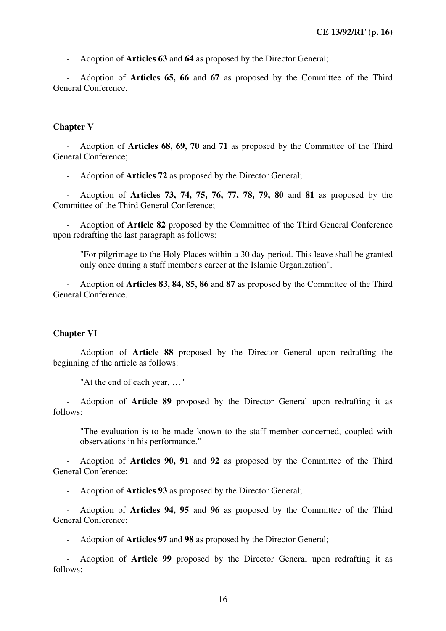- Adoption of **Articles 63** and **64** as proposed by the Director General;

- Adoption of **Articles 65, 66** and **67** as proposed by the Committee of the Third General Conference.

## **Chapter V**

- Adoption of **Articles 68, 69, 70** and **71** as proposed by the Committee of the Third General Conference;

- Adoption of **Articles 72** as proposed by the Director General;

- Adoption of **Articles 73, 74, 75, 76, 77, 78, 79, 80** and **81** as proposed by the Committee of the Third General Conference;

- Adoption of **Article 82** proposed by the Committee of the Third General Conference upon redrafting the last paragraph as follows:

"For pilgrimage to the Holy Places within a 30 day-period. This leave shall be granted only once during a staff member's career at the Islamic Organization".

- Adoption of **Articles 83, 84, 85, 86** and **87** as proposed by the Committee of the Third General Conference.

#### **Chapter VI**

- Adoption of **Article 88** proposed by the Director General upon redrafting the beginning of the article as follows:

"At the end of each year, …"

- Adoption of **Article 89** proposed by the Director General upon redrafting it as follows:

"The evaluation is to be made known to the staff member concerned, coupled with observations in his performance."

- Adoption of **Articles 90, 91** and **92** as proposed by the Committee of the Third General Conference;

- Adoption of **Articles 93** as proposed by the Director General;

- Adoption of **Articles 94, 95** and **96** as proposed by the Committee of the Third General Conference;

- Adoption of **Articles 97** and **98** as proposed by the Director General;

- Adoption of **Article 99** proposed by the Director General upon redrafting it as follows: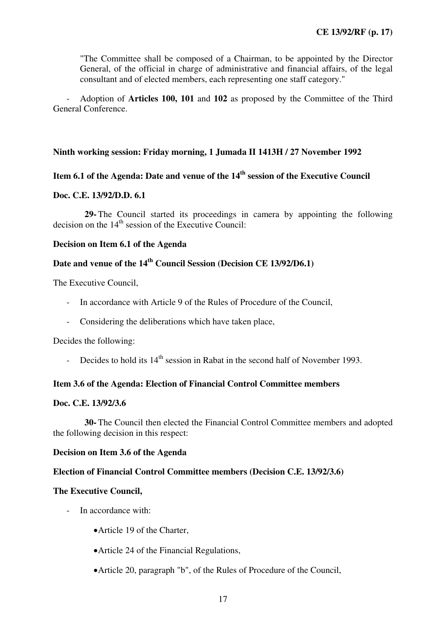"The Committee shall be composed of a Chairman, to be appointed by the Director General, of the official in charge of administrative and financial affairs, of the legal consultant and of elected members, each representing one staff category."

- Adoption of **Articles 100, 101** and **102** as proposed by the Committee of the Third General Conference.

# **Ninth working session: Friday morning, 1 Jumada II 1413H / 27 November 1992**

# **Item 6.1 of the Agenda: Date and venue of the 14th session of the Executive Council**

#### **Doc. C.E. 13/92/D.D. 6.1**

**29-** The Council started its proceedings in camera by appointing the following decision on the  $14<sup>th</sup>$  session of the Executive Council:

#### **Decision on Item 6.1 of the Agenda**

# **Date and venue of the 14th Council Session (Decision CE 13/92/D6.1)**

The Executive Council,

- In accordance with Article 9 of the Rules of Procedure of the Council,
- Considering the deliberations which have taken place,

Decides the following:

- Decides to hold its  $14<sup>th</sup>$  session in Rabat in the second half of November 1993.

#### **Item 3.6 of the Agenda: Election of Financial Control Committee members**

#### **Doc. C.E. 13/92/3.6**

**30-** The Council then elected the Financial Control Committee members and adopted the following decision in this respect:

#### **Decision on Item 3.6 of the Agenda**

## **Election of Financial Control Committee members (Decision C.E. 13/92/3.6)**

#### **The Executive Council,**

- In accordance with:
	- •Article 19 of the Charter,
	- •Article 24 of the Financial Regulations,
	- •Article 20, paragraph "b", of the Rules of Procedure of the Council,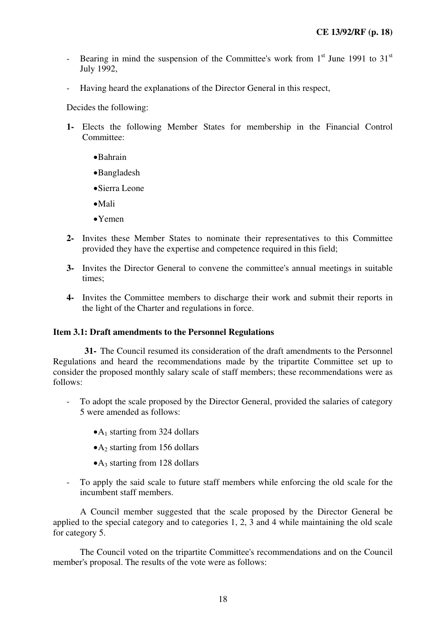- Bearing in mind the suspension of the Committee's work from  $1<sup>st</sup>$  June 1991 to 31 $<sup>st</sup>$ </sup> July 1992,
- Having heard the explanations of the Director General in this respect,

Decides the following:

- **1-** Elects the following Member States for membership in the Financial Control Committee<sup>.</sup>
	- •Bahrain
	- •Bangladesh
	- •Sierra Leone
	- •Mali
	- •Yemen
- **2-** Invites these Member States to nominate their representatives to this Committee provided they have the expertise and competence required in this field;
- **3-** Invites the Director General to convene the committee's annual meetings in suitable times;
- **4-** Invites the Committee members to discharge their work and submit their reports in the light of the Charter and regulations in force.

#### **Item 3.1: Draft amendments to the Personnel Regulations**

**31-** The Council resumed its consideration of the draft amendments to the Personnel Regulations and heard the recommendations made by the tripartite Committee set up to consider the proposed monthly salary scale of staff members; these recommendations were as follows:

- To adopt the scale proposed by the Director General, provided the salaries of category 5 were amended as follows:
	- $\bullet$ A<sub>1</sub> starting from 324 dollars
	- $\bullet$  A<sub>2</sub> starting from 156 dollars
	- $\bullet$  A<sub>3</sub> starting from 128 dollars
- To apply the said scale to future staff members while enforcing the old scale for the incumbent staff members.

A Council member suggested that the scale proposed by the Director General be applied to the special category and to categories 1, 2, 3 and 4 while maintaining the old scale for category 5.

The Council voted on the tripartite Committee's recommendations and on the Council member's proposal. The results of the vote were as follows: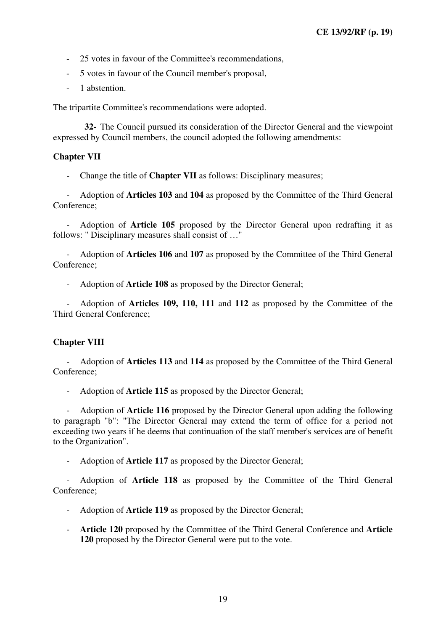- 25 votes in favour of the Committee's recommendations,
- 5 votes in favour of the Council member's proposal,
- 1 abstention.

The tripartite Committee's recommendations were adopted.

**32-** The Council pursued its consideration of the Director General and the viewpoint expressed by Council members, the council adopted the following amendments:

# **Chapter VII**

- Change the title of **Chapter VII** as follows: Disciplinary measures;

- Adoption of **Articles 103** and **104** as proposed by the Committee of the Third General Conference;

- Adoption of **Article 105** proposed by the Director General upon redrafting it as follows: " Disciplinary measures shall consist of …"

- Adoption of **Articles 106** and **107** as proposed by the Committee of the Third General Conference;

- Adoption of **Article 108** as proposed by the Director General;

- Adoption of **Articles 109, 110, 111** and **112** as proposed by the Committee of the Third General Conference;

# **Chapter VIII**

- Adoption of **Articles 113** and **114** as proposed by the Committee of the Third General Conference;

- Adoption of **Article 115** as proposed by the Director General;

- Adoption of **Article 116** proposed by the Director General upon adding the following to paragraph "b": "The Director General may extend the term of office for a period not exceeding two years if he deems that continuation of the staff member's services are of benefit to the Organization".

- Adoption of **Article 117** as proposed by the Director General;

- Adoption of **Article 118** as proposed by the Committee of the Third General Conference;

- Adoption of **Article 119** as proposed by the Director General;

- **Article 120** proposed by the Committee of the Third General Conference and **Article 120** proposed by the Director General were put to the vote.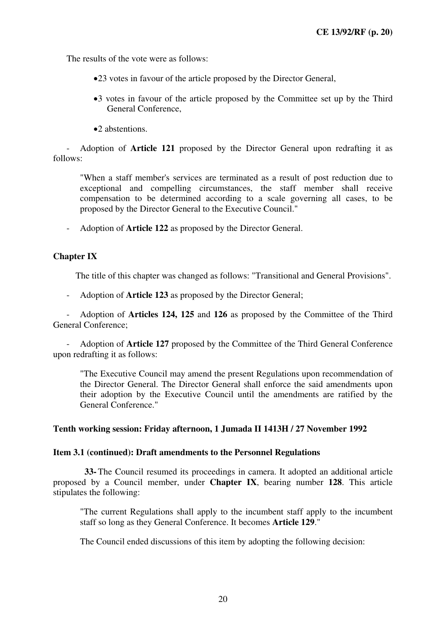The results of the vote were as follows:

- •23 votes in favour of the article proposed by the Director General,
- •3 votes in favour of the article proposed by the Committee set up by the Third General Conference,
- •2 abstentions.

- Adoption of **Article 121** proposed by the Director General upon redrafting it as follows:

"When a staff member's services are terminated as a result of post reduction due to exceptional and compelling circumstances, the staff member shall receive compensation to be determined according to a scale governing all cases, to be proposed by the Director General to the Executive Council."

- Adoption of **Article 122** as proposed by the Director General.

#### **Chapter IX**

The title of this chapter was changed as follows: "Transitional and General Provisions".

- Adoption of **Article 123** as proposed by the Director General;

- Adoption of **Articles 124, 125** and **126** as proposed by the Committee of the Third General Conference;

- Adoption of **Article 127** proposed by the Committee of the Third General Conference upon redrafting it as follows:

"The Executive Council may amend the present Regulations upon recommendation of the Director General. The Director General shall enforce the said amendments upon their adoption by the Executive Council until the amendments are ratified by the General Conference."

#### **Tenth working session: Friday afternoon, 1 Jumada II 1413H / 27 November 1992**

#### **Item 3.1 (continued): Draft amendments to the Personnel Regulations**

**33-** The Council resumed its proceedings in camera. It adopted an additional article proposed by a Council member, under **Chapter IX**, bearing number **128**. This article stipulates the following:

"The current Regulations shall apply to the incumbent staff apply to the incumbent staff so long as they General Conference. It becomes **Article 129**."

The Council ended discussions of this item by adopting the following decision: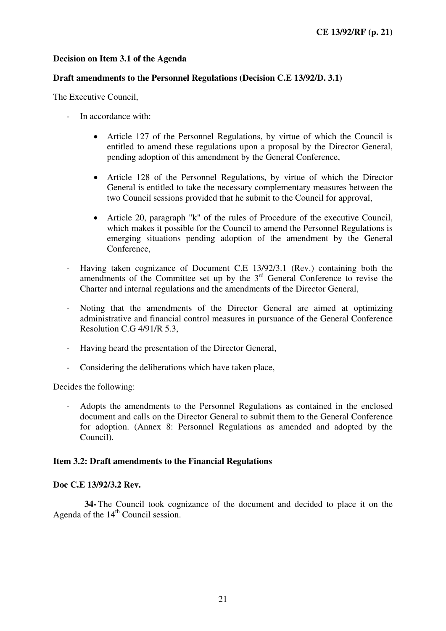# **Decision on Item 3.1 of the Agenda**

## **Draft amendments to the Personnel Regulations (Decision C.E 13/92/D. 3.1)**

The Executive Council,

- In accordance with:
	- Article 127 of the Personnel Regulations, by virtue of which the Council is entitled to amend these regulations upon a proposal by the Director General, pending adoption of this amendment by the General Conference,
	- Article 128 of the Personnel Regulations, by virtue of which the Director General is entitled to take the necessary complementary measures between the two Council sessions provided that he submit to the Council for approval,
	- Article 20, paragraph "k" of the rules of Procedure of the executive Council, which makes it possible for the Council to amend the Personnel Regulations is emerging situations pending adoption of the amendment by the General Conference,
- Having taken cognizance of Document C.E 13/92/3.1 (Rev.) containing both the amendments of the Committee set up by the 3<sup>rd</sup> General Conference to revise the Charter and internal regulations and the amendments of the Director General,
- Noting that the amendments of the Director General are aimed at optimizing administrative and financial control measures in pursuance of the General Conference Resolution C.G 4/91/R 5.3,
- Having heard the presentation of the Director General,
- Considering the deliberations which have taken place,

Decides the following:

- Adopts the amendments to the Personnel Regulations as contained in the enclosed document and calls on the Director General to submit them to the General Conference for adoption. (Annex 8: Personnel Regulations as amended and adopted by the Council).

#### **Item 3.2: Draft amendments to the Financial Regulations**

#### **Doc C.E 13/92/3.2 Rev.**

**34-** The Council took cognizance of the document and decided to place it on the Agenda of the  $14<sup>th</sup>$  Council session.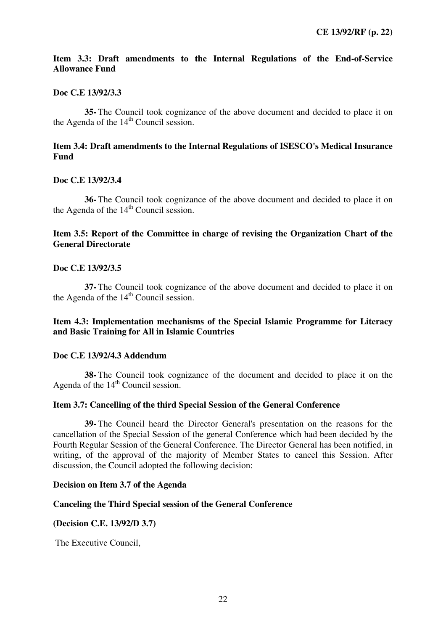# **Item 3.3: Draft amendments to the Internal Regulations of the End-of-Service Allowance Fund**

# **Doc C.E 13/92/3.3**

**35-** The Council took cognizance of the above document and decided to place it on the Agenda of the  $14<sup>th</sup>$  Council session.

# **Item 3.4: Draft amendments to the Internal Regulations of ISESCO's Medical Insurance Fund**

# **Doc C.E 13/92/3.4**

**36-** The Council took cognizance of the above document and decided to place it on the Agenda of the  $14<sup>th</sup>$  Council session.

# **Item 3.5: Report of the Committee in charge of revising the Organization Chart of the General Directorate**

# **Doc C.E 13/92/3.5**

**37-** The Council took cognizance of the above document and decided to place it on the Agenda of the  $14<sup>th</sup>$  Council session.

# **Item 4.3: Implementation mechanisms of the Special Islamic Programme for Literacy and Basic Training for All in Islamic Countries**

#### **Doc C.E 13/92/4.3 Addendum**

**38-** The Council took cognizance of the document and decided to place it on the Agenda of the  $14<sup>th</sup>$  Council session.

#### **Item 3.7: Cancelling of the third Special Session of the General Conference**

**39-** The Council heard the Director General's presentation on the reasons for the cancellation of the Special Session of the general Conference which had been decided by the Fourth Regular Session of the General Conference. The Director General has been notified, in writing, of the approval of the majority of Member States to cancel this Session. After discussion, the Council adopted the following decision:

#### **Decision on Item 3.7 of the Agenda**

## **Canceling the Third Special session of the General Conference**

#### **(Decision C.E. 13/92/D 3.7)**

The Executive Council,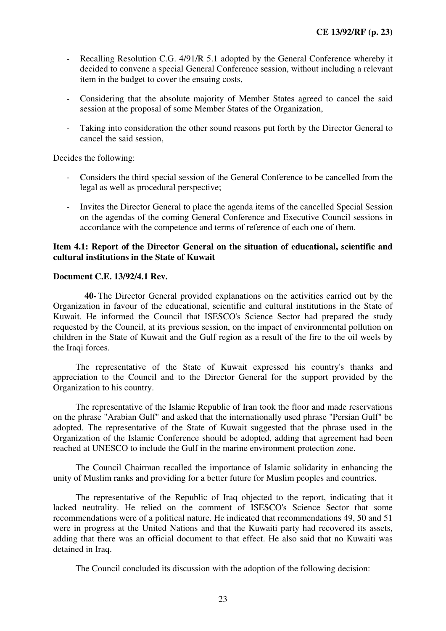- Recalling Resolution C.G. 4/91/R 5.1 adopted by the General Conference whereby it decided to convene a special General Conference session, without including a relevant item in the budget to cover the ensuing costs,
- Considering that the absolute majority of Member States agreed to cancel the said session at the proposal of some Member States of the Organization,
- Taking into consideration the other sound reasons put forth by the Director General to cancel the said session,

Decides the following:

- Considers the third special session of the General Conference to be cancelled from the legal as well as procedural perspective;
- Invites the Director General to place the agenda items of the cancelled Special Session on the agendas of the coming General Conference and Executive Council sessions in accordance with the competence and terms of reference of each one of them.

## **Item 4.1: Report of the Director General on the situation of educational, scientific and cultural institutions in the State of Kuwait**

# **Document C.E. 13/92/4.1 Rev.**

**40-** The Director General provided explanations on the activities carried out by the Organization in favour of the educational, scientific and cultural institutions in the State of Kuwait. He informed the Council that ISESCO's Science Sector had prepared the study requested by the Council, at its previous session, on the impact of environmental pollution on children in the State of Kuwait and the Gulf region as a result of the fire to the oil weels by the Iraqi forces.

The representative of the State of Kuwait expressed his country's thanks and appreciation to the Council and to the Director General for the support provided by the Organization to his country.

The representative of the Islamic Republic of Iran took the floor and made reservations on the phrase "Arabian Gulf" and asked that the internationally used phrase "Persian Gulf" be adopted. The representative of the State of Kuwait suggested that the phrase used in the Organization of the Islamic Conference should be adopted, adding that agreement had been reached at UNESCO to include the Gulf in the marine environment protection zone.

The Council Chairman recalled the importance of Islamic solidarity in enhancing the unity of Muslim ranks and providing for a better future for Muslim peoples and countries.

The representative of the Republic of Iraq objected to the report, indicating that it lacked neutrality. He relied on the comment of ISESCO's Science Sector that some recommendations were of a political nature. He indicated that recommendations 49, 50 and 51 were in progress at the United Nations and that the Kuwaiti party had recovered its assets, adding that there was an official document to that effect. He also said that no Kuwaiti was detained in Iraq.

The Council concluded its discussion with the adoption of the following decision: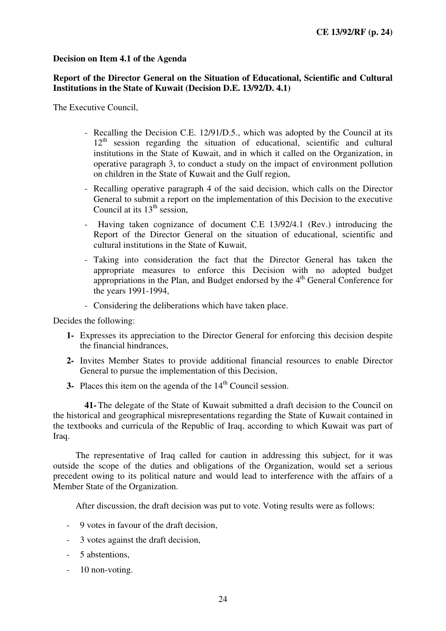# **Decision on Item 4.1 of the Agenda**

# **Report of the Director General on the Situation of Educational, Scientific and Cultural Institutions in the State of Kuwait (Decision D.E. 13/92/D. 4.1)**

The Executive Council,

- Recalling the Decision C.E. 12/91/D.5., which was adopted by the Council at its  $12<sup>th</sup>$  session regarding the situation of educational, scientific and cultural institutions in the State of Kuwait, and in which it called on the Organization, in operative paragraph 3, to conduct a study on the impact of environment pollution on children in the State of Kuwait and the Gulf region,
- Recalling operative paragraph 4 of the said decision, which calls on the Director General to submit a report on the implementation of this Decision to the executive Council at its  $13<sup>th</sup>$  session,
- Having taken cognizance of document C.E 13/92/4.1 (Rev.) introducing the Report of the Director General on the situation of educational, scientific and cultural institutions in the State of Kuwait,
- Taking into consideration the fact that the Director General has taken the appropriate measures to enforce this Decision with no adopted budget appropriations in the Plan, and Budget endorsed by the  $4<sup>th</sup>$  General Conference for the years 1991-1994,
- Considering the deliberations which have taken place.

Decides the following:

- **1-** Expresses its appreciation to the Director General for enforcing this decision despite the financial hindrances,
- **2-** Invites Member States to provide additional financial resources to enable Director General to pursue the implementation of this Decision,
- **3-** Places this item on the agenda of the 14<sup>th</sup> Council session.

**41-** The delegate of the State of Kuwait submitted a draft decision to the Council on the historical and geographical misrepresentations regarding the State of Kuwait contained in the textbooks and curricula of the Republic of Iraq, according to which Kuwait was part of Iraq.

The representative of Iraq called for caution in addressing this subject, for it was outside the scope of the duties and obligations of the Organization, would set a serious precedent owing to its political nature and would lead to interference with the affairs of a Member State of the Organization.

After discussion, the draft decision was put to vote. Voting results were as follows:

- 9 votes in favour of the draft decision,
- 3 votes against the draft decision,
- 5 abstentions,
- 10 non-voting.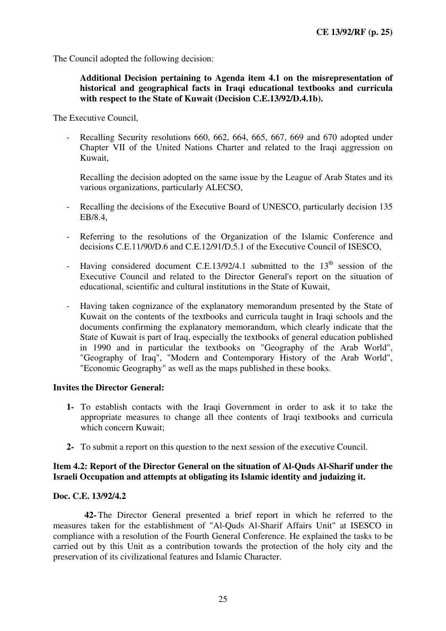The Council adopted the following decision:

# **Additional Decision pertaining to Agenda item 4.1 on the misrepresentation of historical and geographical facts in Iraqi educational textbooks and curricula with respect to the State of Kuwait (Decision C.E.13/92/D.4.1b).**

The Executive Council,

- Recalling Security resolutions 660, 662, 664, 665, 667, 669 and 670 adopted under Chapter VII of the United Nations Charter and related to the Iraqi aggression on Kuwait,

Recalling the decision adopted on the same issue by the League of Arab States and its various organizations, particularly ALECSO,

- Recalling the decisions of the Executive Board of UNESCO, particularly decision 135 EB/8.4,
- Referring to the resolutions of the Organization of the Islamic Conference and decisions C.E.11/90/D.6 and C.E.12/91/D.5.1 of the Executive Council of ISESCO,
- Having considered document C.E.13/92/4.1 submitted to the  $13<sup>th</sup>$  session of the Executive Council and related to the Director General's report on the situation of educational, scientific and cultural institutions in the State of Kuwait,
- Having taken cognizance of the explanatory memorandum presented by the State of Kuwait on the contents of the textbooks and curricula taught in Iraqi schools and the documents confirming the explanatory memorandum, which clearly indicate that the State of Kuwait is part of Iraq, especially the textbooks of general education published in 1990 and in particular the textbooks on "Geography of the Arab World", "Geography of Iraq", "Modern and Contemporary History of the Arab World", "Economic Geography" as well as the maps published in these books.

#### **Invites the Director General:**

- **1-** To establish contacts with the Iraqi Government in order to ask it to take the appropriate measures to change all thee contents of Iraqi textbooks and curricula which concern Kuwait;
- **2-** To submit a report on this question to the next session of the executive Council.

# **Item 4.2: Report of the Director General on the situation of Al-Quds Al-Sharif under the Israeli Occupation and attempts at obligating its Islamic identity and judaizing it.**

#### **Doc. C.E. 13/92/4.2**

**42-** The Director General presented a brief report in which he referred to the measures taken for the establishment of "Al-Quds Al-Sharif Affairs Unit" at ISESCO in compliance with a resolution of the Fourth General Conference. He explained the tasks to be carried out by this Unit as a contribution towards the protection of the holy city and the preservation of its civilizational features and Islamic Character.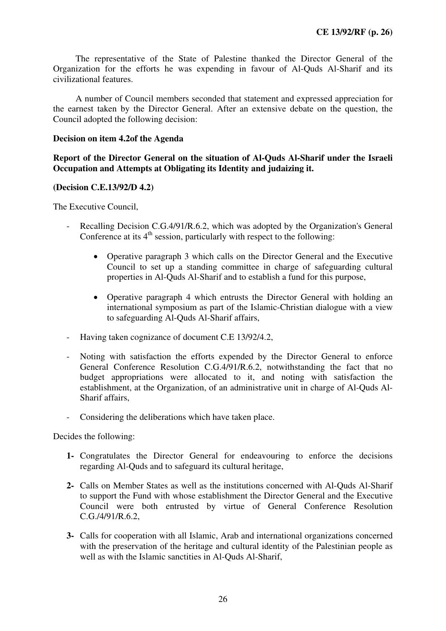The representative of the State of Palestine thanked the Director General of the Organization for the efforts he was expending in favour of Al-Quds Al-Sharif and its civilizational features.

A number of Council members seconded that statement and expressed appreciation for the earnest taken by the Director General. After an extensive debate on the question, the Council adopted the following decision:

# **Decision on item 4.2of the Agenda**

**Report of the Director General on the situation of Al-Quds Al-Sharif under the Israeli Occupation and Attempts at Obligating its Identity and judaizing it.** 

#### **(Decision C.E.13/92/D 4.2)**

The Executive Council,

- Recalling Decision C.G.4/91/R.6.2, which was adopted by the Organization's General Conference at its  $4<sup>th</sup>$  session, particularly with respect to the following:
	- Operative paragraph 3 which calls on the Director General and the Executive Council to set up a standing committee in charge of safeguarding cultural properties in Al-Quds Al-Sharif and to establish a fund for this purpose,
	- Operative paragraph 4 which entrusts the Director General with holding an international symposium as part of the Islamic-Christian dialogue with a view to safeguarding Al-Quds Al-Sharif affairs,
- Having taken cognizance of document C.E 13/92/4.2,
- Noting with satisfaction the efforts expended by the Director General to enforce General Conference Resolution C.G.4/91/R.6.2, notwithstanding the fact that no budget appropriations were allocated to it, and noting with satisfaction the establishment, at the Organization, of an administrative unit in charge of Al-Quds Al-Sharif affairs,
- Considering the deliberations which have taken place.

Decides the following:

- **1-** Congratulates the Director General for endeavouring to enforce the decisions regarding Al-Quds and to safeguard its cultural heritage,
- **2-** Calls on Member States as well as the institutions concerned with Al-Quds Al-Sharif to support the Fund with whose establishment the Director General and the Executive Council were both entrusted by virtue of General Conference Resolution C.G./4/91/R.6.2,
- **3-** Calls for cooperation with all Islamic, Arab and international organizations concerned with the preservation of the heritage and cultural identity of the Palestinian people as well as with the Islamic sanctities in Al-Quds Al-Sharif,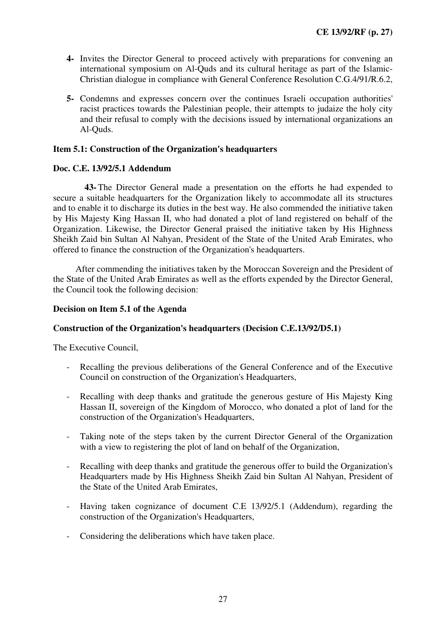- **4-** Invites the Director General to proceed actively with preparations for convening an international symposium on Al-Quds and its cultural heritage as part of the Islamic-Christian dialogue in compliance with General Conference Resolution C.G.4/91/R.6.2,
- **5-** Condemns and expresses concern over the continues Israeli occupation authorities' racist practices towards the Palestinian people, their attempts to judaize the holy city and their refusal to comply with the decisions issued by international organizations an Al-Quds.

# **Item 5.1: Construction of the Organization's headquarters**

# **Doc. C.E. 13/92/5.1 Addendum**

**43-** The Director General made a presentation on the efforts he had expended to secure a suitable headquarters for the Organization likely to accommodate all its structures and to enable it to discharge its duties in the best way. He also commended the initiative taken by His Majesty King Hassan II, who had donated a plot of land registered on behalf of the Organization. Likewise, the Director General praised the initiative taken by His Highness Sheikh Zaid bin Sultan Al Nahyan, President of the State of the United Arab Emirates, who offered to finance the construction of the Organization's headquarters.

After commending the initiatives taken by the Moroccan Sovereign and the President of the State of the United Arab Emirates as well as the efforts expended by the Director General, the Council took the following decision:

#### **Decision on Item 5.1 of the Agenda**

#### **Construction of the Organization's headquarters (Decision C.E.13/92/D5.1)**

The Executive Council,

- Recalling the previous deliberations of the General Conference and of the Executive Council on construction of the Organization's Headquarters,
- Recalling with deep thanks and gratitude the generous gesture of His Majesty King Hassan II, sovereign of the Kingdom of Morocco, who donated a plot of land for the construction of the Organization's Headquarters,
- Taking note of the steps taken by the current Director General of the Organization with a view to registering the plot of land on behalf of the Organization,
- Recalling with deep thanks and gratitude the generous offer to build the Organization's Headquarters made by His Highness Sheikh Zaid bin Sultan Al Nahyan, President of the State of the United Arab Emirates,
- Having taken cognizance of document C.E 13/92/5.1 (Addendum), regarding the construction of the Organization's Headquarters,
- Considering the deliberations which have taken place.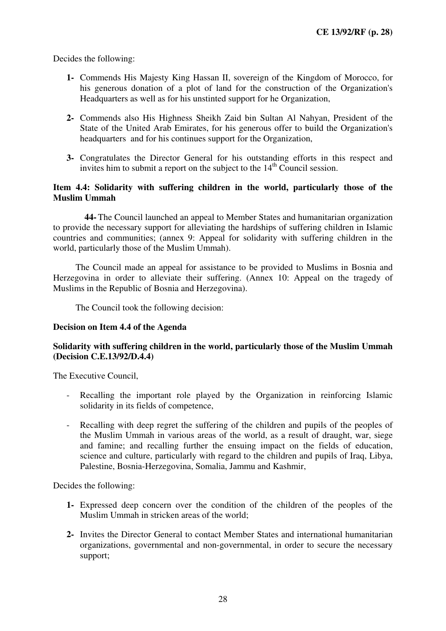Decides the following:

- **1-** Commends His Majesty King Hassan II, sovereign of the Kingdom of Morocco, for his generous donation of a plot of land for the construction of the Organization's Headquarters as well as for his unstinted support for he Organization,
- **2-** Commends also His Highness Sheikh Zaid bin Sultan Al Nahyan, President of the State of the United Arab Emirates, for his generous offer to build the Organization's headquarters and for his continues support for the Organization,
- **3-** Congratulates the Director General for his outstanding efforts in this respect and invites him to submit a report on the subject to the  $14<sup>th</sup>$  Council session.

# **Item 4.4: Solidarity with suffering children in the world, particularly those of the Muslim Ummah**

**44-** The Council launched an appeal to Member States and humanitarian organization to provide the necessary support for alleviating the hardships of suffering children in Islamic countries and communities; (annex 9: Appeal for solidarity with suffering children in the world, particularly those of the Muslim Ummah).

The Council made an appeal for assistance to be provided to Muslims in Bosnia and Herzegovina in order to alleviate their suffering. (Annex 10: Appeal on the tragedy of Muslims in the Republic of Bosnia and Herzegovina).

The Council took the following decision:

#### **Decision on Item 4.4 of the Agenda**

# **Solidarity with suffering children in the world, particularly those of the Muslim Ummah (Decision C.E.13/92/D.4.4)**

The Executive Council,

- Recalling the important role played by the Organization in reinforcing Islamic solidarity in its fields of competence,
- Recalling with deep regret the suffering of the children and pupils of the peoples of the Muslim Ummah in various areas of the world, as a result of draught, war, siege and famine; and recalling further the ensuing impact on the fields of education, science and culture, particularly with regard to the children and pupils of Iraq, Libya, Palestine, Bosnia-Herzegovina, Somalia, Jammu and Kashmir,

Decides the following:

- **1-** Expressed deep concern over the condition of the children of the peoples of the Muslim Ummah in stricken areas of the world;
- **2-** Invites the Director General to contact Member States and international humanitarian organizations, governmental and non-governmental, in order to secure the necessary support;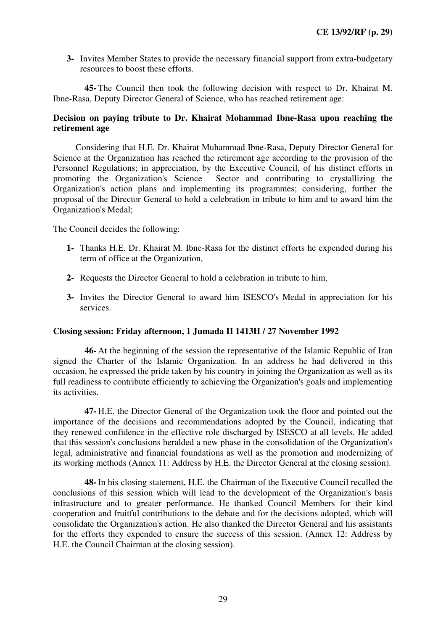**3-** Invites Member States to provide the necessary financial support from extra-budgetary resources to boost these efforts.

**45-** The Council then took the following decision with respect to Dr. Khairat M. Ibne-Rasa, Deputy Director General of Science, who has reached retirement age:

# **Decision on paying tribute to Dr. Khairat Mohammad Ibne-Rasa upon reaching the retirement age**

Considering that H.E. Dr. Khairat Muhammad Ibne-Rasa, Deputy Director General for Science at the Organization has reached the retirement age according to the provision of the Personnel Regulations; in appreciation, by the Executive Council, of his distinct efforts in promoting the Organization's Science Sector and contributing to crystallizing the Sector and contributing to crystallizing the Organization's action plans and implementing its programmes; considering, further the proposal of the Director General to hold a celebration in tribute to him and to award him the Organization's Medal;

The Council decides the following:

- **1-** Thanks H.E. Dr. Khairat M. Ibne-Rasa for the distinct efforts he expended during his term of office at the Organization,
- **2-** Requests the Director General to hold a celebration in tribute to him,
- **3-** Invites the Director General to award him ISESCO's Medal in appreciation for his services.

# **Closing session: Friday afternoon, 1 Jumada II 1413H / 27 November 1992**

**46-** At the beginning of the session the representative of the Islamic Republic of Iran signed the Charter of the Islamic Organization. In an address he had delivered in this occasion, he expressed the pride taken by his country in joining the Organization as well as its full readiness to contribute efficiently to achieving the Organization's goals and implementing its activities.

**47-** H.E. the Director General of the Organization took the floor and pointed out the importance of the decisions and recommendations adopted by the Council, indicating that they renewed confidence in the effective role discharged by ISESCO at all levels. He added that this session's conclusions heralded a new phase in the consolidation of the Organization's legal, administrative and financial foundations as well as the promotion and modernizing of its working methods (Annex 11: Address by H.E. the Director General at the closing session).

**48-** In his closing statement, H.E. the Chairman of the Executive Council recalled the conclusions of this session which will lead to the development of the Organization's basis infrastructure and to greater performance. He thanked Council Members for their kind cooperation and fruitful contributions to the debate and for the decisions adopted, which will consolidate the Organization's action. He also thanked the Director General and his assistants for the efforts they expended to ensure the success of this session. (Annex 12: Address by H.E. the Council Chairman at the closing session).